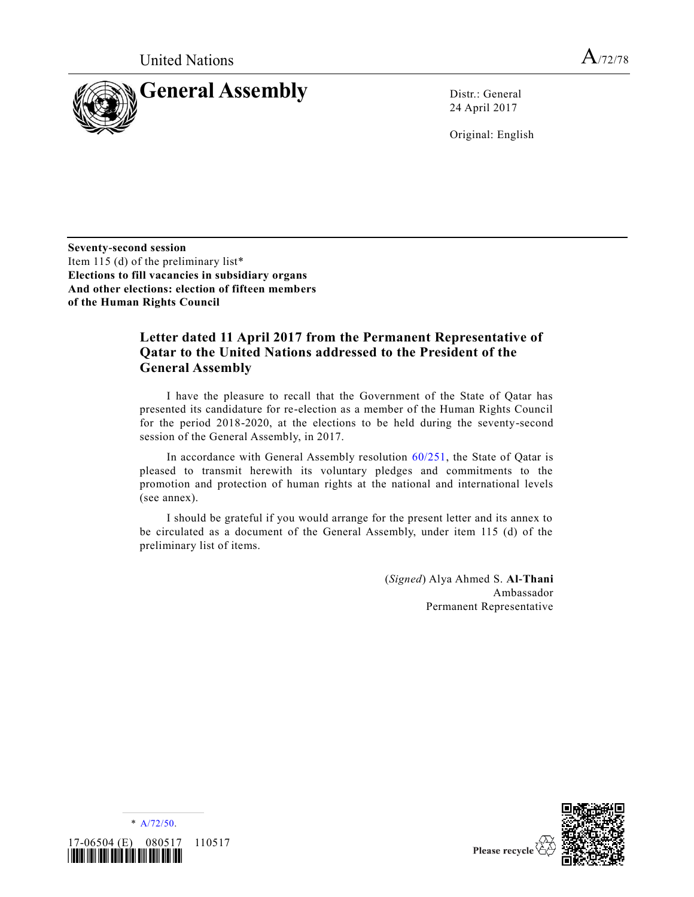

24 April 2017

Original: English

**Seventy-second session** Item 115 (d) of the preliminary list\* **Elections to fill vacancies in subsidiary organs And other elections: election of fifteen members of the Human Rights Council**

# **Letter dated 11 April 2017 from the Permanent Representative of Qatar to the United Nations addressed to the President of the General Assembly**

I have the pleasure to recall that the Government of the State of Qatar has presented its candidature for re-election as a member of the Human Rights Council for the period 2018-2020, at the elections to be held during the seventy-second session of the General Assembly, in 2017.

In accordance with General Assembly resolution  $60/251$ , the State of Oatar is pleased to transmit herewith its voluntary pledges and commitments to the promotion and protection of human rights at the national and international levels (see annex).

I should be grateful if you would arrange for the present letter and its annex to be circulated as a document of the General Assembly, under item 115 (d) of the preliminary list of items.

> (*Signed*) Alya Ahmed S. **Al-Thani** Ambassador Permanent Representative



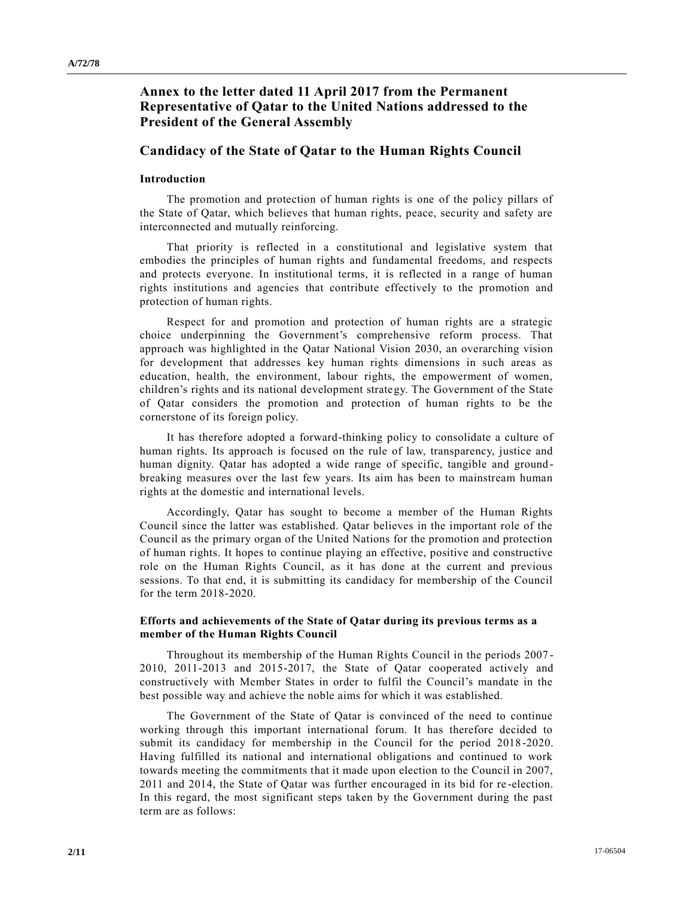# **Annex to the letter dated 11 April 2017 from the Permanent Representative of Qatar to the United Nations addressed to the President of the General Assembly**

# **Candidacy of the State of Qatar to the Human Rights Council**

## **Introduction**

The promotion and protection of human rights is one of the policy pillars of the State of Qatar, which believes that human rights, peace, security and safety are interconnected and mutually reinforcing.

That priority is reflected in a constitutional and legislative system that embodies the principles of human rights and fundamental freedoms, and respects and protects everyone. In institutional terms, it is reflected in a range of human rights institutions and agencies that contribute effectively to the promotion and protection of human rights.

Respect for and promotion and protection of human rights are a strategic choice underpinning the Government's comprehensive reform process. That approach was highlighted in the Qatar National Vision 2030, an overarching vision for development that addresses key human rights dimensions in such areas as education, health, the environment, labour rights, the empowerment of women, children's rights and its national development strategy. The Government of the State of Qatar considers the promotion and protection of human rights to be the cornerstone of its foreign policy.

It has therefore adopted a forward-thinking policy to consolidate a culture of human rights. Its approach is focused on the rule of law, transparency, justice and human dignity. Qatar has adopted a wide range of specific, tangible and groundbreaking measures over the last few years. Its aim has been to mainstream human rights at the domestic and international levels.

Accordingly, Qatar has sought to become a member of the Human Rights Council since the latter was established. Qatar believes in the important role of the Council as the primary organ of the United Nations for the promotion and protection of human rights. It hopes to continue playing an effective, positive and constructive role on the Human Rights Council, as it has done at the current and previous sessions. To that end, it is submitting its candidacy for membership of the Council for the term 2018-2020.

## **Efforts and achievements of the State of Qatar during its previous terms as a member of the Human Rights Council**

Throughout its membership of the Human Rights Council in the periods 2007 - 2010, 2011-2013 and 2015-2017, the State of Qatar cooperated actively and constructively with Member States in order to fulfil the Council's mandate in the best possible way and achieve the noble aims for which it was established.

The Government of the State of Qatar is convinced of the need to continue working through this important international forum. It has therefore decided to submit its candidacy for membership in the Council for the period 2018 -2020. Having fulfilled its national and international obligations and continued to work towards meeting the commitments that it made upon election to the Council in 2007, 2011 and 2014, the State of Qatar was further encouraged in its bid for re -election. In this regard, the most significant steps taken by the Government during the past term are as follows: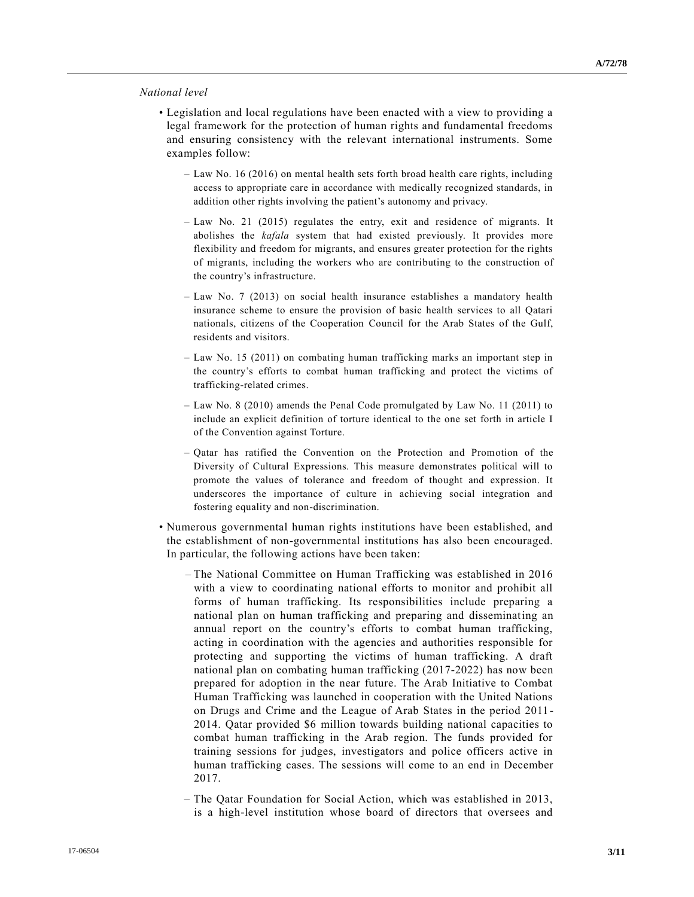### *National level*

- Legislation and local regulations have been enacted with a view to providing a legal framework for the protection of human rights and fundamental freedoms and ensuring consistency with the relevant international instruments. Some examples follow:
	- Law No. 16 (2016) on mental health sets forth broad health care rights, including access to appropriate care in accordance with medically recognized standards, in addition other rights involving the patient's autonomy and privacy.
	- Law No. 21 (2015) regulates the entry, exit and residence of migrants. It abolishes the *kafala* system that had existed previously. It provides more flexibility and freedom for migrants, and ensures greater protection for the rights of migrants, including the workers who are contributing to the construction of the country's infrastructure.
	- Law No. 7 (2013) on social health insurance establishes a mandatory health insurance scheme to ensure the provision of basic health services to all Qatari nationals, citizens of the Cooperation Council for the Arab States of the Gulf, residents and visitors.
	- Law No. 15 (2011) on combating human trafficking marks an important step in the country's efforts to combat human trafficking and protect the victims of trafficking-related crimes.
	- Law No. 8 (2010) amends the Penal Code promulgated by Law No. 11 (2011) to include an explicit definition of torture identical to the one set forth in article I of the Convention against Torture.
	- Qatar has ratified the Convention on the Protection and Promotion of the Diversity of Cultural Expressions. This measure demonstrates political will to promote the values of tolerance and freedom of thought and expression. It underscores the importance of culture in achieving social integration and fostering equality and non-discrimination.
- Numerous governmental human rights institutions have been established, and the establishment of non-governmental institutions has also been encouraged. In particular, the following actions have been taken:
	- The National Committee on Human Trafficking was established in 2016 with a view to coordinating national efforts to monitor and prohibit all forms of human trafficking. Its responsibilities include preparing a national plan on human trafficking and preparing and disseminating an annual report on the country's efforts to combat human trafficking, acting in coordination with the agencies and authorities responsible for protecting and supporting the victims of human trafficking. A draft national plan on combating human trafficking (2017-2022) has now been prepared for adoption in the near future. The Arab Initiative to Combat Human Trafficking was launched in cooperation with the United Nations on Drugs and Crime and the League of Arab States in the period 2011- 2014. Qatar provided \$6 million towards building national capacities to combat human trafficking in the Arab region. The funds provided for training sessions for judges, investigators and police officers active in human trafficking cases. The sessions will come to an end in December 2017.
	- The Qatar Foundation for Social Action, which was established in 2013, is a high-level institution whose board of directors that oversees and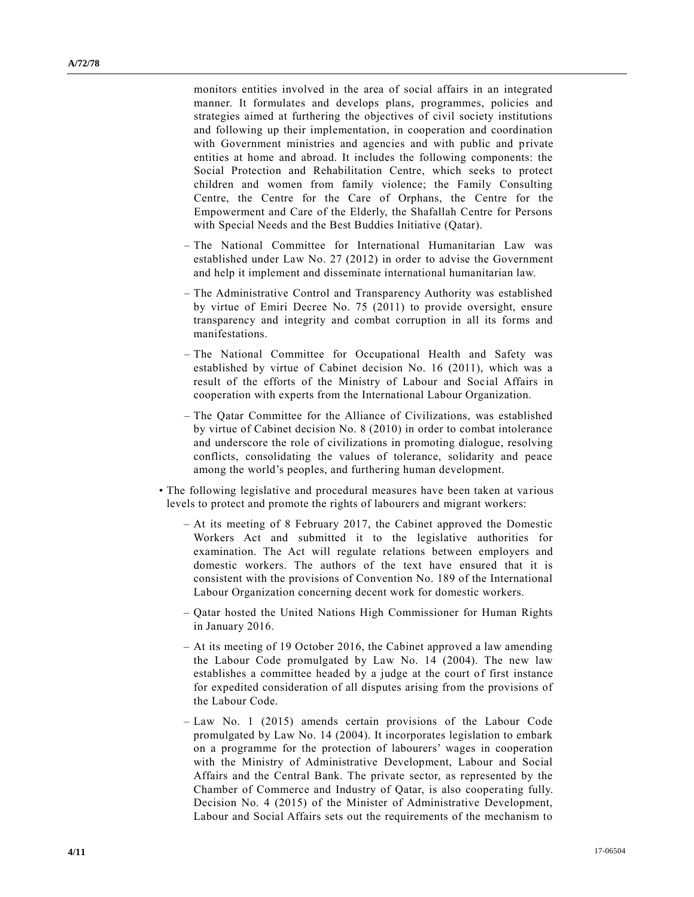monitors entities involved in the area of social affairs in an integrated manner. It formulates and develops plans, programmes, policies and strategies aimed at furthering the objectives of civil society institutions and following up their implementation, in cooperation and coordination with Government ministries and agencies and with public and private entities at home and abroad. It includes the following components: the Social Protection and Rehabilitation Centre, which seeks to protect children and women from family violence; the Family Consulting Centre, the Centre for the Care of Orphans, the Centre for the Empowerment and Care of the Elderly, the Shafallah Centre for Persons with Special Needs and the Best Buddies Initiative (Qatar).

- The National Committee for International Humanitarian Law was established under Law No. 27 (2012) in order to advise the Government and help it implement and disseminate international humanitarian law.
- The Administrative Control and Transparency Authority was established by virtue of Emiri Decree No. 75 (2011) to provide oversight, ensure transparency and integrity and combat corruption in all its forms and manifestations.
- The National Committee for Occupational Health and Safety was established by virtue of Cabinet decision No. 16 (2011), which was a result of the efforts of the Ministry of Labour and Social Affairs in cooperation with experts from the International Labour Organization.
- The Qatar Committee for the Alliance of Civilizations, was established by virtue of Cabinet decision No. 8 (2010) in order to combat intolerance and underscore the role of civilizations in promoting dialogue, resolving conflicts, consolidating the values of tolerance, solidarity and peace among the world's peoples, and furthering human development.
- The following legislative and procedural measures have been taken at various levels to protect and promote the rights of labourers and migrant workers:
	- At its meeting of 8 February 2017, the Cabinet approved the Domestic Workers Act and submitted it to the legislative authorities for examination. The Act will regulate relations between employers and domestic workers. The authors of the text have ensured that it is consistent with the provisions of Convention No. 189 of the International Labour Organization concerning decent work for domestic workers.
	- Qatar hosted the United Nations High Commissioner for Human Rights in January 2016.
	- At its meeting of 19 October 2016, the Cabinet approved a law amending the Labour Code promulgated by Law No. 14 (2004). The new law establishes a committee headed by a judge at the court of first instance for expedited consideration of all disputes arising from the provisions of the Labour Code.
	- Law No. 1 (2015) amends certain provisions of the Labour Code promulgated by Law No. 14 (2004). It incorporates legislation to embark on a programme for the protection of labourers' wages in cooperation with the Ministry of Administrative Development, Labour and Social Affairs and the Central Bank. The private sector, as represented by the Chamber of Commerce and Industry of Qatar, is also cooperating fully. Decision No. 4 (2015) of the Minister of Administrative Development, Labour and Social Affairs sets out the requirements of the mechanism to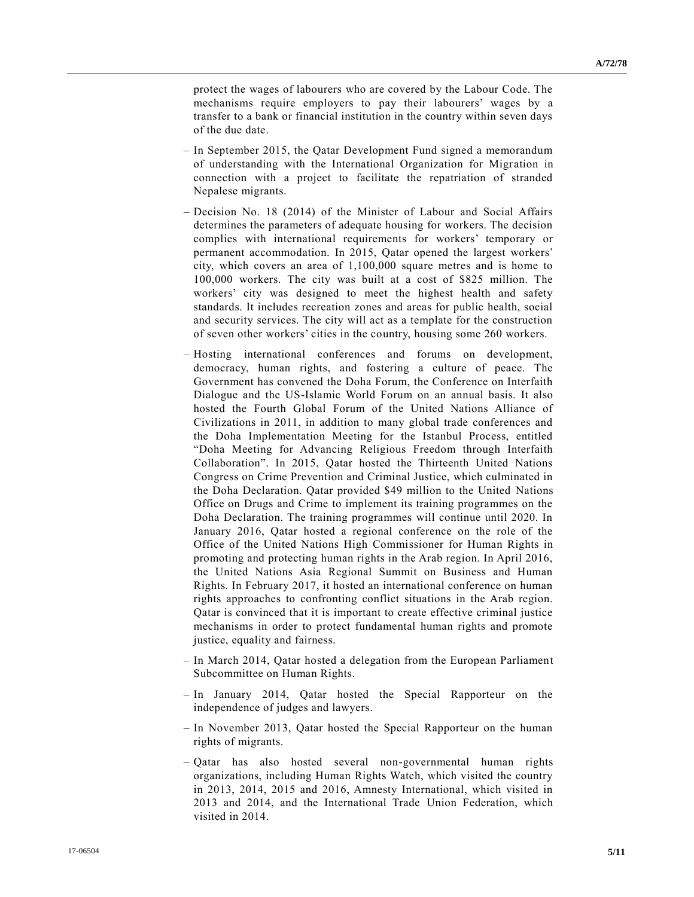protect the wages of labourers who are covered by the Labour Code. The mechanisms require employers to pay their labourers' wages by a transfer to a bank or financial institution in the country within seven days of the due date.

- In September 2015, the Qatar Development Fund signed a memorandum of understanding with the International Organization for Migration in connection with a project to facilitate the repatriation of stranded Nepalese migrants.
- Decision No. 18 (2014) of the Minister of Labour and Social Affairs determines the parameters of adequate housing for workers. The decision complies with international requirements for workers' temporary or permanent accommodation. In 2015, Qatar opened the largest workers' city, which covers an area of 1,100,000 square metres and is home to 100,000 workers. The city was built at a cost of \$825 million. The workers' city was designed to meet the highest health and safety standards. It includes recreation zones and areas for public health, social and security services. The city will act as a template for the construction of seven other workers' cities in the country, housing some 260 workers.
- Hosting international conferences and forums on development, democracy, human rights, and fostering a culture of peace. The Government has convened the Doha Forum, the Conference on Interfaith Dialogue and the US-Islamic World Forum on an annual basis. It also hosted the Fourth Global Forum of the United Nations Alliance of Civilizations in 2011, in addition to many global trade conferences and the Doha Implementation Meeting for the Istanbul Process, entitled "Doha Meeting for Advancing Religious Freedom through Interfaith Collaboration". In 2015, Qatar hosted the Thirteenth United Nations Congress on Crime Prevention and Criminal Justice, which culminated in the Doha Declaration. Qatar provided \$49 million to the United Nations Office on Drugs and Crime to implement its training programmes on the Doha Declaration. The training programmes will continue until 2020. In January 2016, Qatar hosted a regional conference on the role of the Office of the United Nations High Commissioner for Human Rights in promoting and protecting human rights in the Arab region. In April 2016, the United Nations Asia Regional Summit on Business and Human Rights. In February 2017, it hosted an international conference on human rights approaches to confronting conflict situations in the Arab region. Qatar is convinced that it is important to create effective criminal justice mechanisms in order to protect fundamental human rights and promote justice, equality and fairness.
- In March 2014, Qatar hosted a delegation from the European Parliament Subcommittee on Human Rights.
- In January 2014, Qatar hosted the Special Rapporteur on the independence of judges and lawyers.
- In November 2013, Qatar hosted the Special Rapporteur on the human rights of migrants.
- Qatar has also hosted several non-governmental human rights organizations, including Human Rights Watch, which visited the country in 2013, 2014, 2015 and 2016, Amnesty International, which visited in 2013 and 2014, and the International Trade Union Federation, which visited in 2014.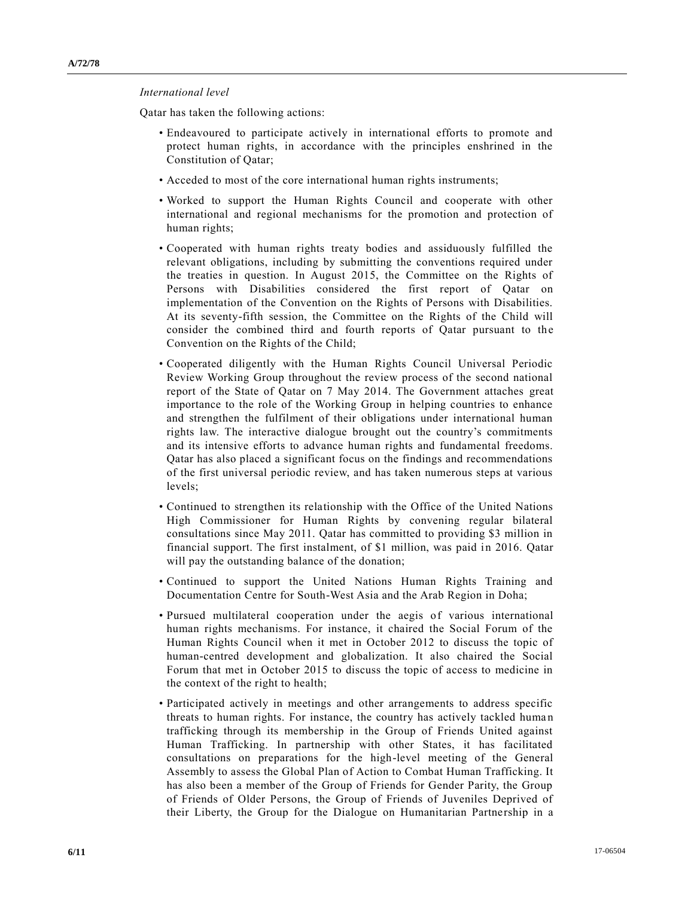## *International level*

Qatar has taken the following actions:

- Endeavoured to participate actively in international efforts to promote and protect human rights, in accordance with the principles enshrined in the Constitution of Qatar;
- Acceded to most of the core international human rights instruments;
- Worked to support the Human Rights Council and cooperate with other international and regional mechanisms for the promotion and protection of human rights;
- Cooperated with human rights treaty bodies and assiduously fulfilled the relevant obligations, including by submitting the conventions required under the treaties in question. In August 2015, the Committee on the Rights of Persons with Disabilities considered the first report of Qatar on implementation of the Convention on the Rights of Persons with Disabilities. At its seventy-fifth session, the Committee on the Rights of the Child will consider the combined third and fourth reports of Qatar pursuant to the Convention on the Rights of the Child;
- Cooperated diligently with the Human Rights Council Universal Periodic Review Working Group throughout the review process of the second national report of the State of Qatar on 7 May 2014. The Government attaches great importance to the role of the Working Group in helping countries to enhance and strengthen the fulfilment of their obligations under international human rights law. The interactive dialogue brought out the country's commitments and its intensive efforts to advance human rights and fundamental freedoms. Qatar has also placed a significant focus on the findings and recommendations of the first universal periodic review, and has taken numerous steps at various levels;
- Continued to strengthen its relationship with the Office of the United Nations High Commissioner for Human Rights by convening regular bilateral consultations since May 2011. Qatar has committed to providing \$3 million in financial support. The first instalment, of \$1 million, was paid in 2016. Qatar will pay the outstanding balance of the donation;
- Continued to support the United Nations Human Rights Training and Documentation Centre for South-West Asia and the Arab Region in Doha;
- Pursued multilateral cooperation under the aegis of various international human rights mechanisms. For instance, it chaired the Social Forum of the Human Rights Council when it met in October 2012 to discuss the topic of human-centred development and globalization. It also chaired the Social Forum that met in October 2015 to discuss the topic of access to medicine in the context of the right to health;
- Participated actively in meetings and other arrangements to address specific threats to human rights. For instance, the country has actively tackled huma n trafficking through its membership in the Group of Friends United against Human Trafficking. In partnership with other States, it has facilitated consultations on preparations for the high-level meeting of the General Assembly to assess the Global Plan of Action to Combat Human Trafficking. It has also been a member of the Group of Friends for Gender Parity, the Group of Friends of Older Persons, the Group of Friends of Juveniles Deprived of their Liberty, the Group for the Dialogue on Humanitarian Partnership in a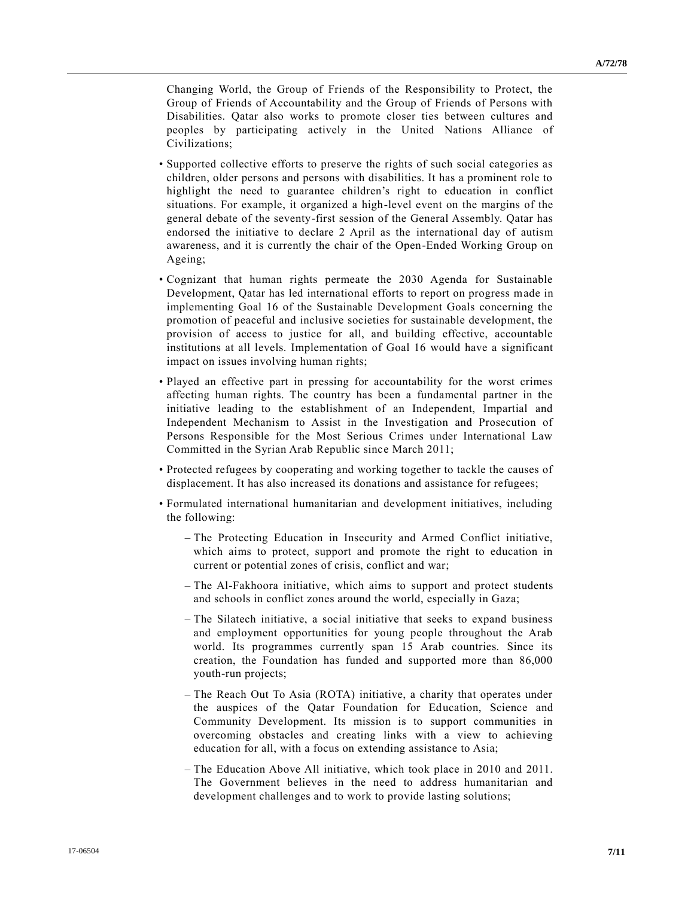Changing World, the Group of Friends of the Responsibility to Protect, the Group of Friends of Accountability and the Group of Friends of Persons with Disabilities. Qatar also works to promote closer ties between cultures and peoples by participating actively in the United Nations Alliance of Civilizations;

- Supported collective efforts to preserve the rights of such social categories as children, older persons and persons with disabilities. It has a prominent role to highlight the need to guarantee children's right to education in conflict situations. For example, it organized a high-level event on the margins of the general debate of the seventy-first session of the General Assembly. Qatar has endorsed the initiative to declare 2 April as the international day of autism awareness, and it is currently the chair of the Open-Ended Working Group on Ageing;
- Cognizant that human rights permeate the 2030 Agenda for Sustainable Development, Qatar has led international efforts to report on progress made in implementing Goal 16 of the Sustainable Development Goals concerning the promotion of peaceful and inclusive societies for sustainable development, the provision of access to justice for all, and building effective, accountable institutions at all levels. Implementation of Goal 16 would have a significant impact on issues involving human rights;
- Played an effective part in pressing for accountability for the worst crimes affecting human rights. The country has been a fundamental partner in the initiative leading to the establishment of an Independent, Impartial and Independent Mechanism to Assist in the Investigation and Prosecution of Persons Responsible for the Most Serious Crimes under International Law Committed in the Syrian Arab Republic since March 2011;
- Protected refugees by cooperating and working together to tackle the causes of displacement. It has also increased its donations and assistance for refugees;
- Formulated international humanitarian and development initiatives, including the following:
	- The Protecting Education in Insecurity and Armed Conflict initiative, which aims to protect, support and promote the right to education in current or potential zones of crisis, conflict and war;
	- The Al-Fakhoora initiative, which aims to support and protect students and schools in conflict zones around the world, especially in Gaza;
	- The Silatech initiative, a social initiative that seeks to expand business and employment opportunities for young people throughout the Arab world. Its programmes currently span 15 Arab countries. Since its creation, the Foundation has funded and supported more than 86,000 youth-run projects;
	- The Reach Out To Asia (ROTA) initiative, a charity that operates under the auspices of the Qatar Foundation for Education, Science and Community Development. Its mission is to support communities in overcoming obstacles and creating links with a view to achieving education for all, with a focus on extending assistance to Asia;
	- The Education Above All initiative, which took place in 2010 and 2011. The Government believes in the need to address humanitarian and development challenges and to work to provide lasting solutions;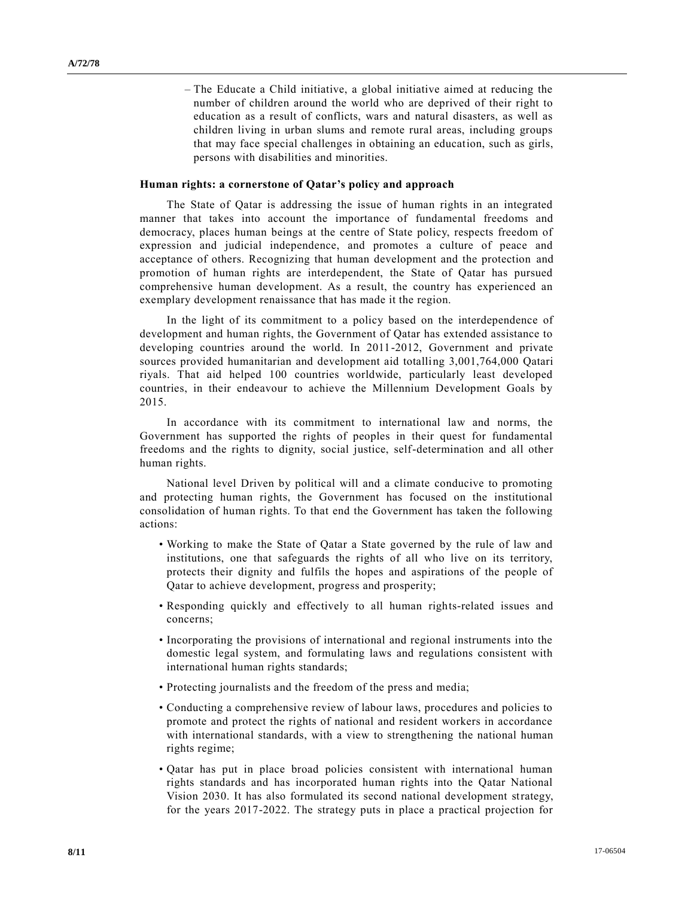– The Educate a Child initiative, a global initiative aimed at reducing the number of children around the world who are deprived of their right to education as a result of conflicts, wars and natural disasters, as well as children living in urban slums and remote rural areas, including groups that may face special challenges in obtaining an education, such as girls, persons with disabilities and minorities.

## **Human rights: a cornerstone of Qatar's policy and approach**

The State of Qatar is addressing the issue of human rights in an integrated manner that takes into account the importance of fundamental freedoms and democracy, places human beings at the centre of State policy, respects freedom of expression and judicial independence, and promotes a culture of peace and acceptance of others. Recognizing that human development and the protection and promotion of human rights are interdependent, the State of Qatar has pursued comprehensive human development. As a result, the country has experienced an exemplary development renaissance that has made it the region.

In the light of its commitment to a policy based on the interdependence of development and human rights, the Government of Qatar has extended assistance to developing countries around the world. In 2011-2012, Government and private sources provided humanitarian and development aid totalling 3,001,764,000 Qatari riyals. That aid helped 100 countries worldwide, particularly least developed countries, in their endeavour to achieve the Millennium Development Goals by 2015.

In accordance with its commitment to international law and norms, the Government has supported the rights of peoples in their quest for fundamental freedoms and the rights to dignity, social justice, self-determination and all other human rights.

National level Driven by political will and a climate conducive to promoting and protecting human rights, the Government has focused on the institutional consolidation of human rights. To that end the Government has taken the following actions:

- Working to make the State of Qatar a State governed by the rule of law and institutions, one that safeguards the rights of all who live on its territory, protects their dignity and fulfils the hopes and aspirations of the people of Qatar to achieve development, progress and prosperity;
- Responding quickly and effectively to all human rights-related issues and concerns;
- Incorporating the provisions of international and regional instruments into the domestic legal system, and formulating laws and regulations consistent with international human rights standards;
- Protecting journalists and the freedom of the press and media;
- Conducting a comprehensive review of labour laws, procedures and policies to promote and protect the rights of national and resident workers in accordance with international standards, with a view to strengthening the national human rights regime;
- Qatar has put in place broad policies consistent with international human rights standards and has incorporated human rights into the Qatar National Vision 2030. It has also formulated its second national development strategy, for the years 2017-2022. The strategy puts in place a practical projection for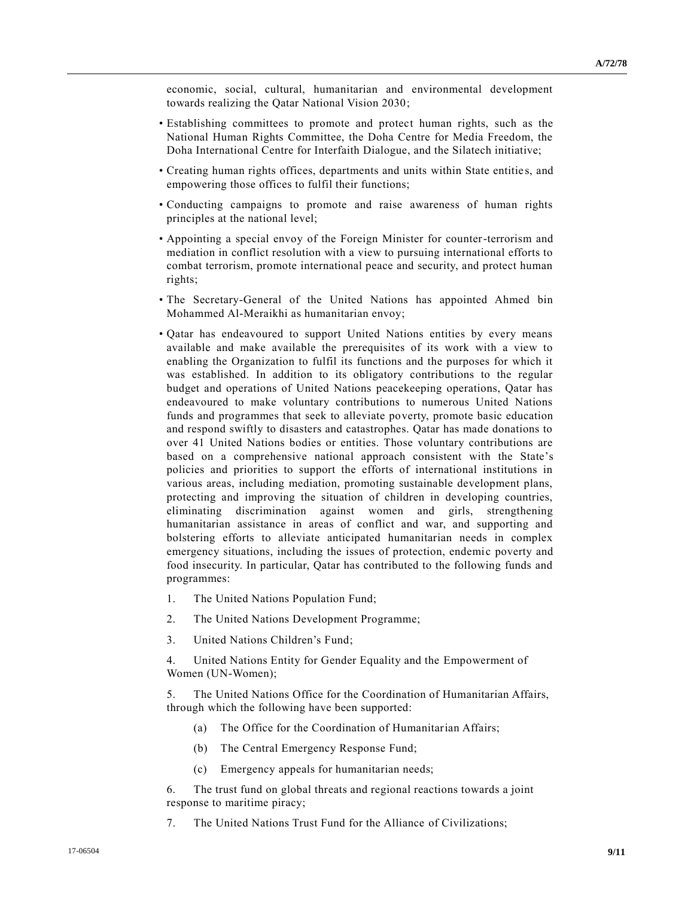economic, social, cultural, humanitarian and environmental development towards realizing the Qatar National Vision 2030;

- Establishing committees to promote and protect human rights, such as the National Human Rights Committee, the Doha Centre for Media Freedom, the Doha International Centre for Interfaith Dialogue, and the Silatech initiative;
- Creating human rights offices, departments and units within State entitie s, and empowering those offices to fulfil their functions;
- Conducting campaigns to promote and raise awareness of human rights principles at the national level;
- Appointing a special envoy of the Foreign Minister for counter-terrorism and mediation in conflict resolution with a view to pursuing international efforts to combat terrorism, promote international peace and security, and protect human rights;
- The Secretary-General of the United Nations has appointed Ahmed bin Mohammed Al-Meraikhi as humanitarian envoy;
- Qatar has endeavoured to support United Nations entities by every means available and make available the prerequisites of its work with a view to enabling the Organization to fulfil its functions and the purposes for which it was established. In addition to its obligatory contributions to the regular budget and operations of United Nations peacekeeping operations, Qatar has endeavoured to make voluntary contributions to numerous United Nations funds and programmes that seek to alleviate poverty, promote basic education and respond swiftly to disasters and catastrophes. Qatar has made donations to over 41 United Nations bodies or entities. Those voluntary contributions are based on a comprehensive national approach consistent with the State's policies and priorities to support the efforts of international institutions in various areas, including mediation, promoting sustainable development plans, protecting and improving the situation of children in developing countries, eliminating discrimination against women and girls, strengthening humanitarian assistance in areas of conflict and war, and supporting and bolstering efforts to alleviate anticipated humanitarian needs in complex emergency situations, including the issues of protection, endemic poverty and food insecurity. In particular, Qatar has contributed to the following funds and programmes:
	- 1. The United Nations Population Fund;
	- 2. The United Nations Development Programme;
	- 3. United Nations Children's Fund;

4. United Nations Entity for Gender Equality and the Empowerment of Women (UN-Women);

5. The United Nations Office for the Coordination of Humanitarian Affairs, through which the following have been supported:

- (a) The Office for the Coordination of Humanitarian Affairs;
- (b) The Central Emergency Response Fund;
- (c) Emergency appeals for humanitarian needs;

6. The trust fund on global threats and regional reactions towards a joint response to maritime piracy;

7. The United Nations Trust Fund for the Alliance of Civilizations;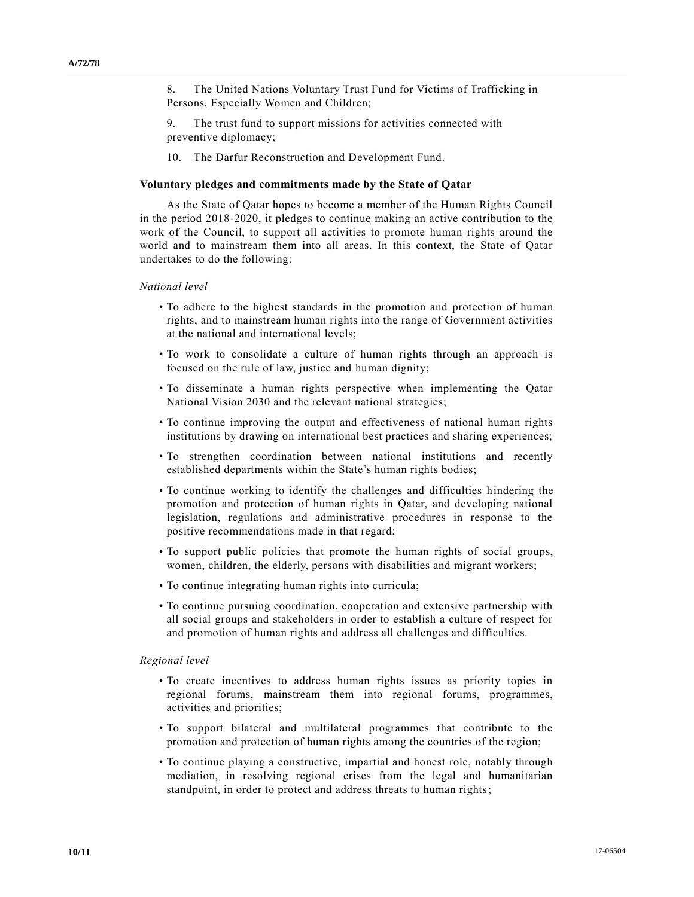8. The United Nations Voluntary Trust Fund for Victims of Trafficking in Persons, Especially Women and Children;

9. The trust fund to support missions for activities connected with preventive diplomacy;

10. The Darfur Reconstruction and Development Fund.

#### **Voluntary pledges and commitments made by the State of Qatar**

As the State of Qatar hopes to become a member of the Human Rights Council in the period 2018-2020, it pledges to continue making an active contribution to the work of the Council, to support all activities to promote human rights around the world and to mainstream them into all areas. In this context, the State of Qatar undertakes to do the following:

#### *National level*

- To adhere to the highest standards in the promotion and protection of human rights, and to mainstream human rights into the range of Government activities at the national and international levels;
- To work to consolidate a culture of human rights through an approach is focused on the rule of law, justice and human dignity;
- To disseminate a human rights perspective when implementing the Qatar National Vision 2030 and the relevant national strategies;
- To continue improving the output and effectiveness of national human rights institutions by drawing on international best practices and sharing experiences;
- To strengthen coordination between national institutions and recently established departments within the State's human rights bodies;
- To continue working to identify the challenges and difficulties hindering the promotion and protection of human rights in Qatar, and developing national legislation, regulations and administrative procedures in response to the positive recommendations made in that regard;
- To support public policies that promote the human rights of social groups, women, children, the elderly, persons with disabilities and migrant workers;
- To continue integrating human rights into curricula;
- To continue pursuing coordination, cooperation and extensive partnership with all social groups and stakeholders in order to establish a culture of respect for and promotion of human rights and address all challenges and difficulties.

#### *Regional level*

- To create incentives to address human rights issues as priority topics in regional forums, mainstream them into regional forums, programmes, activities and priorities;
- To support bilateral and multilateral programmes that contribute to the promotion and protection of human rights among the countries of the region;
- To continue playing a constructive, impartial and honest role, notably through mediation, in resolving regional crises from the legal and humanitarian standpoint, in order to protect and address threats to human rights;